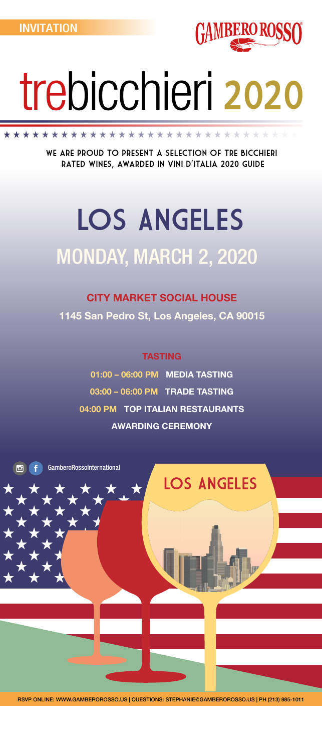

## MONDAY, MARCH 2, 2020 LOS ANGELES

# trebicchieri 2020

### CITY MARKET SOCIAL HOUSE

1145 San Pedro St, Los Angeles, CA 90015

### TASTING

01:00 – 06:00 PM MEDIA TASTING 03:00 – 06:00 PM TRADE TASTING 04:00 PM TOP ITALIAN RESTAURANTS AWARDING CEREMONY

GamberoRossoInternational

RSVP ONLINE: WWW.GAMBEROROSSO.US | QUESTIONS: STEPHANIE@GAMBEROROSSO.US | PH (213) 985-1011

We are proud to present a selection of Tre Bicchieri rated wines, awarded in Vini d'Italia 2020 guide

\*\*\*\*\*\*\*\*\*\*\*\*\*\*\*\*\*\*\*\*\*\*\*\*\*\*\*\*\*



Юİ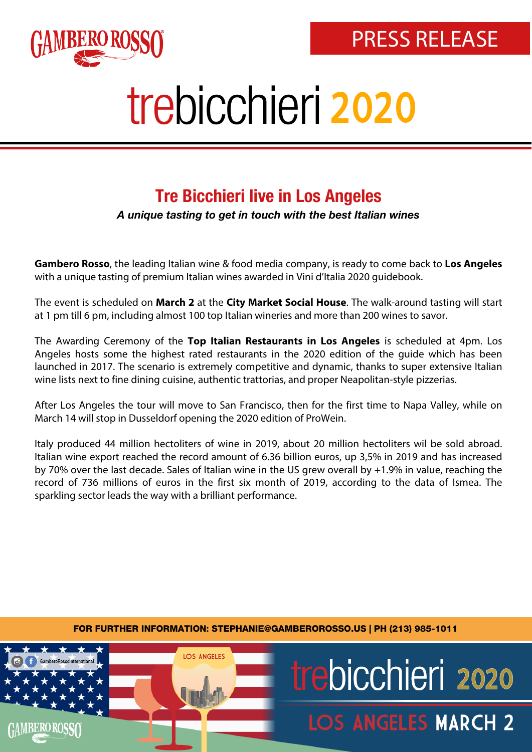

### Tre Bicchieri live in Los Angeles

A unique tasting to get in touch with the best Italian wines

**Gambero Rosso**, the leading Italian wine & food media company, is ready to come back to **Los Angeles** with a unique tasting of premium Italian wines awarded in Vini d'Italia 2020 guidebook.

The event is scheduled on **March 2** at the **City Market Social House**. The walk-around tasting will start at 1 pm till 6 pm, including almost 100 top Italian wineries and more than 200 wines to savor.

The Awarding Ceremony of the **Top Italian Restaurants in Los Angeles** is scheduled at 4pm. Los Angeles hosts some the highest rated restaurants in the 2020 edition of the guide which has been launched in 2017. The scenario is extremely competitive and dynamic, thanks to super extensive Italian wine lists next to fine dining cuisine, authentic trattorias, and proper Neapolitan-style pizzerias.

After Los Angeles the tour will move to San Francisco, then for the first time to Napa Valley, while on March 14 will stop in Dusseldorf opening the 2020 edition of ProWein.

Italy produced 44 million hectoliters of wine in 2019, about 20 million hectoliters wil be sold abroad. Italian wine export reached the record amount of 6.36 billion euros, up 3,5% in 2019 and has increased by 70% over the last decade. Sales of Italian wine in the US grew overall by +1.9% in value, reaching the record of 736 millions of euros in the first six month of 2019, according to the data of Ismea. The sparkling sector leads the way with a brilliant performance.

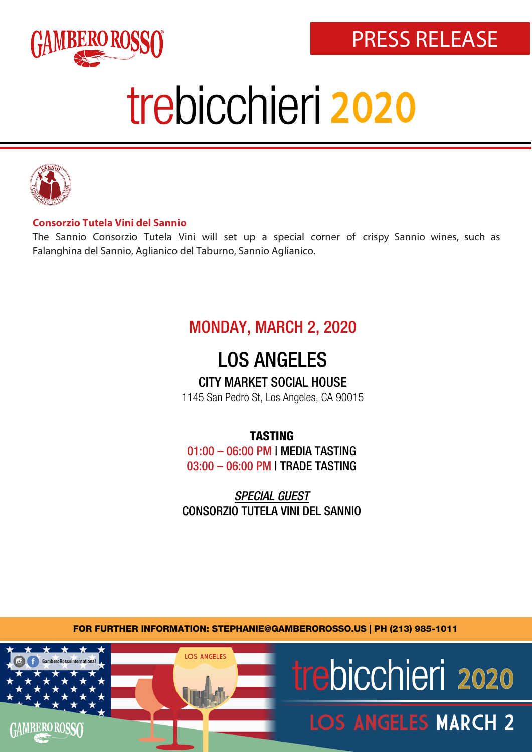



#### **Consorzio Tutela Vini del Sannio**

The Sannio Consorzio Tutela Vini will set up a special corner of crispy Sannio wines, such as Falanghina del Sannio, Aglianico del Taburno, Sannio Aglianico.

### MONDAY, MARCH 2, 2020

### LOS ANGELES

#### CITY MARKET SOCIAL HOUSE

1145 San Pedro St, Los Angeles, CA 90015

#### TASTING

01:00 – 06:00 PM | MEDIA TASTING 03:00 – 06:00 PM | TRADE TASTING

SPECIAL GUEST CONSORZIO TUTELA VINI DEL SANNIO

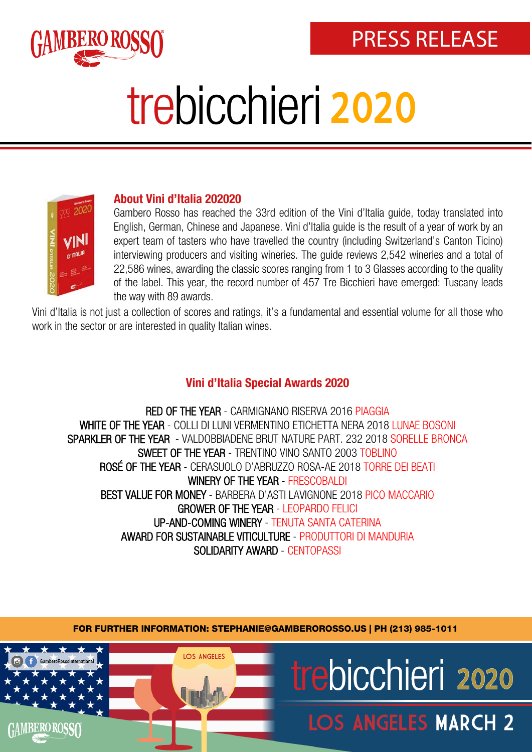



#### About Vini d'Italia 202020

Gambero Rosso has reached the 33rd edition of the Vini d'Italia guide, today translated into English, German, Chinese and Japanese. Vini d'Italia guide is the result of a year of work by an expert team of tasters who have travelled the country (including Switzerland's Canton Ticino) interviewing producers and visiting wineries. The guide reviews 2,542 wineries and a total of 22,586 wines, awarding the classic scores ranging from 1 to 3 Glasses according to the quality of the label. This year, the record number of 457 Tre Bicchieri have emerged: Tuscany leads the way with 89 awards.

Vini d'Italia is not just a collection of scores and ratings, it's a fundamental and essential volume for all those who work in the sector or are interested in quality Italian wines.

#### Vini d'Italia Special Awards 2020

RED OF THE YEAR - CARMIGNANO RISERVA 2016 PIAGGIA WHITE OF THE YEAR - COLLI DI LUNI VERMENTINO ETICHETTA NERA 2018 LUNAE BOSONI SPARKLER OF THE YEAR - VALDOBBIADENE BRUT NATURE PART. 232 2018 SORELLE BRONCA SWEET OF THE YEAR - TRENTINO VINO SANTO 2003 TOBLINO ROSÉ OF THE YEAR - CERASUOLO D'ABRUZZO ROSA-AE 2018 TORRE DEI BEATI WINERY OF THE YEAR - FRESCOBALDI BEST VALUE FOR MONEY - BARBERA D'ASTI LAVIGNONE 2018 PICO MACCARIO GROWER OF THE YEAR - LEOPARDO FELICI [UP-AND-COM](www.gamberorosso.it/restaurants)ING WINERY - TENUTA SANTA CATERINA AWARD FOR SUSTAINABLE VITICULTURE - PRODUTTORI DI MANDURIA SOLIDARITY AWARD - CENTOPASSI